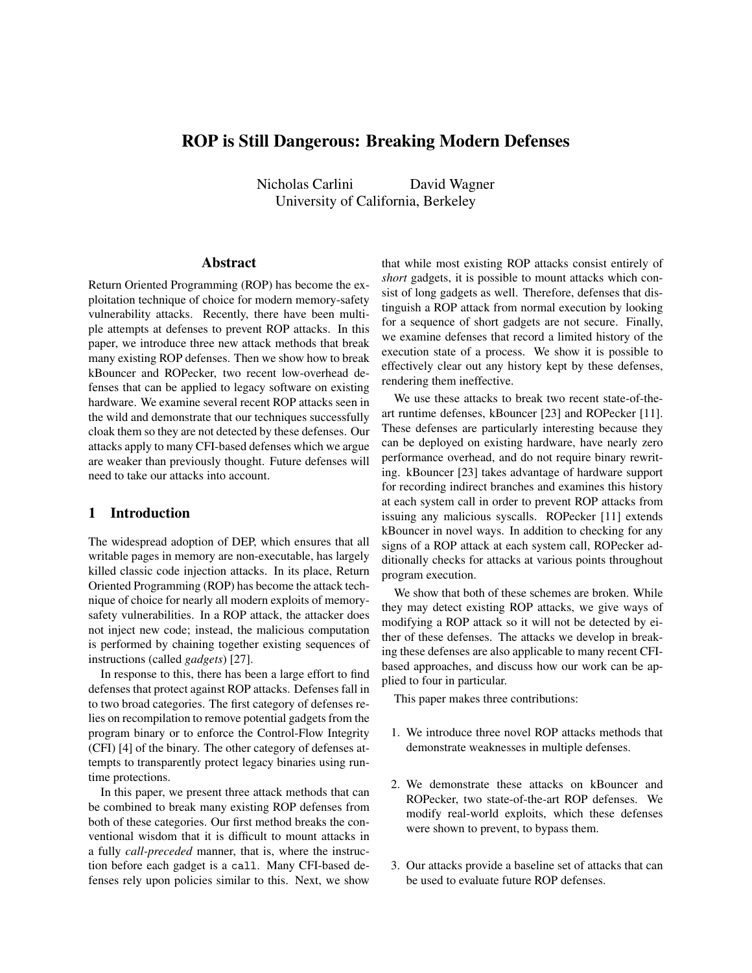# ROP is Still Dangerous: Breaking Modern Defenses

Nicholas Carlini David Wagner University of California, Berkeley

### Abstract

Return Oriented Programming (ROP) has become the exploitation technique of choice for modern memory-safety vulnerability attacks. Recently, there have been multiple attempts at defenses to prevent ROP attacks. In this paper, we introduce three new attack methods that break many existing ROP defenses. Then we show how to break kBouncer and ROPecker, two recent low-overhead defenses that can be applied to legacy software on existing hardware. We examine several recent ROP attacks seen in the wild and demonstrate that our techniques successfully cloak them so they are not detected by these defenses. Our attacks apply to many CFI-based defenses which we argue are weaker than previously thought. Future defenses will need to take our attacks into account.

# 1 Introduction

The widespread adoption of DEP, which ensures that all writable pages in memory are non-executable, has largely killed classic code injection attacks. In its place, Return Oriented Programming (ROP) has become the attack technique of choice for nearly all modern exploits of memorysafety vulnerabilities. In a ROP attack, the attacker does not inject new code; instead, the malicious computation is performed by chaining together existing sequences of instructions (called *gadgets*) [27].

In response to this, there has been a large effort to find defenses that protect against ROP attacks. Defenses fall in to two broad categories. The first category of defenses relies on recompilation to remove potential gadgets from the program binary or to enforce the Control-Flow Integrity (CFI) [4] of the binary. The other category of defenses attempts to transparently protect legacy binaries using runtime protections.

In this paper, we present three attack methods that can be combined to break many existing ROP defenses from both of these categories. Our first method breaks the conventional wisdom that it is difficult to mount attacks in a fully *call-preceded* manner, that is, where the instruction before each gadget is a call. Many CFI-based defenses rely upon policies similar to this. Next, we show

that while most existing ROP attacks consist entirely of *short* gadgets, it is possible to mount attacks which consist of long gadgets as well. Therefore, defenses that distinguish a ROP attack from normal execution by looking for a sequence of short gadgets are not secure. Finally, we examine defenses that record a limited history of the execution state of a process. We show it is possible to effectively clear out any history kept by these defenses, rendering them ineffective.

We use these attacks to break two recent state-of-theart runtime defenses, kBouncer [23] and ROPecker [11]. These defenses are particularly interesting because they can be deployed on existing hardware, have nearly zero performance overhead, and do not require binary rewriting. kBouncer [23] takes advantage of hardware support for recording indirect branches and examines this history at each system call in order to prevent ROP attacks from issuing any malicious syscalls. ROPecker [11] extends kBouncer in novel ways. In addition to checking for any signs of a ROP attack at each system call, ROPecker additionally checks for attacks at various points throughout program execution.

We show that both of these schemes are broken. While they may detect existing ROP attacks, we give ways of modifying a ROP attack so it will not be detected by either of these defenses. The attacks we develop in breaking these defenses are also applicable to many recent CFIbased approaches, and discuss how our work can be applied to four in particular.

This paper makes three contributions:

- 1. We introduce three novel ROP attacks methods that demonstrate weaknesses in multiple defenses.
- 2. We demonstrate these attacks on kBouncer and ROPecker, two state-of-the-art ROP defenses. We modify real-world exploits, which these defenses were shown to prevent, to bypass them.
- 3. Our attacks provide a baseline set of attacks that can be used to evaluate future ROP defenses.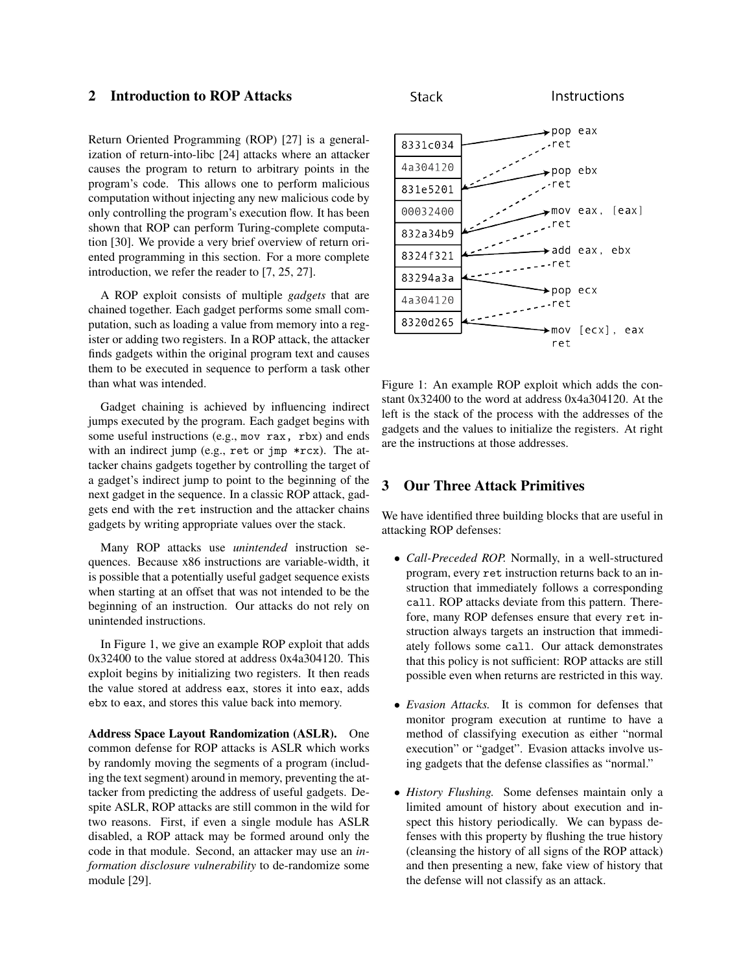# 2 Introduction to ROP Attacks

Return Oriented Programming (ROP) [27] is a generalization of return-into-libc [24] attacks where an attacker causes the program to return to arbitrary points in the program's code. This allows one to perform malicious computation without injecting any new malicious code by only controlling the program's execution flow. It has been shown that ROP can perform Turing-complete computation [30]. We provide a very brief overview of return oriented programming in this section. For a more complete introduction, we refer the reader to [7, 25, 27].

A ROP exploit consists of multiple *gadgets* that are chained together. Each gadget performs some small computation, such as loading a value from memory into a register or adding two registers. In a ROP attack, the attacker finds gadgets within the original program text and causes them to be executed in sequence to perform a task other than what was intended.

Gadget chaining is achieved by influencing indirect jumps executed by the program. Each gadget begins with some useful instructions (e.g., mov rax, rbx) and ends with an indirect jump (e.g., ret or jmp \*rcx). The attacker chains gadgets together by controlling the target of a gadget's indirect jump to point to the beginning of the next gadget in the sequence. In a classic ROP attack, gadgets end with the ret instruction and the attacker chains gadgets by writing appropriate values over the stack.

Many ROP attacks use *unintended* instruction sequences. Because x86 instructions are variable-width, it is possible that a potentially useful gadget sequence exists when starting at an offset that was not intended to be the beginning of an instruction. Our attacks do not rely on unintended instructions.

In Figure 1, we give an example ROP exploit that adds 0x32400 to the value stored at address 0x4a304120. This exploit begins by initializing two registers. It then reads the value stored at address eax, stores it into eax, adds ebx to eax, and stores this value back into memory.

Address Space Layout Randomization (ASLR). One common defense for ROP attacks is ASLR which works by randomly moving the segments of a program (including the text segment) around in memory, preventing the attacker from predicting the address of useful gadgets. Despite ASLR, ROP attacks are still common in the wild for two reasons. First, if even a single module has ASLR disabled, a ROP attack may be formed around only the code in that module. Second, an attacker may use an *information disclosure vulnerability* to de-randomize some module [29].





Figure 1: An example ROP exploit which adds the constant 0x32400 to the word at address 0x4a304120. At the left is the stack of the process with the addresses of the gadgets and the values to initialize the registers. At right are the instructions at those addresses.

# 3 Our Three Attack Primitives

We have identified three building blocks that are useful in attacking ROP defenses:

- *Call-Preceded ROP.* Normally, in a well-structured program, every ret instruction returns back to an instruction that immediately follows a corresponding call. ROP attacks deviate from this pattern. Therefore, many ROP defenses ensure that every ret instruction always targets an instruction that immediately follows some call. Our attack demonstrates that this policy is not sufficient: ROP attacks are still possible even when returns are restricted in this way.
- *Evasion Attacks.* It is common for defenses that monitor program execution at runtime to have a method of classifying execution as either "normal execution" or "gadget". Evasion attacks involve using gadgets that the defense classifies as "normal."
- *History Flushing.* Some defenses maintain only a limited amount of history about execution and inspect this history periodically. We can bypass defenses with this property by flushing the true history (cleansing the history of all signs of the ROP attack) and then presenting a new, fake view of history that the defense will not classify as an attack.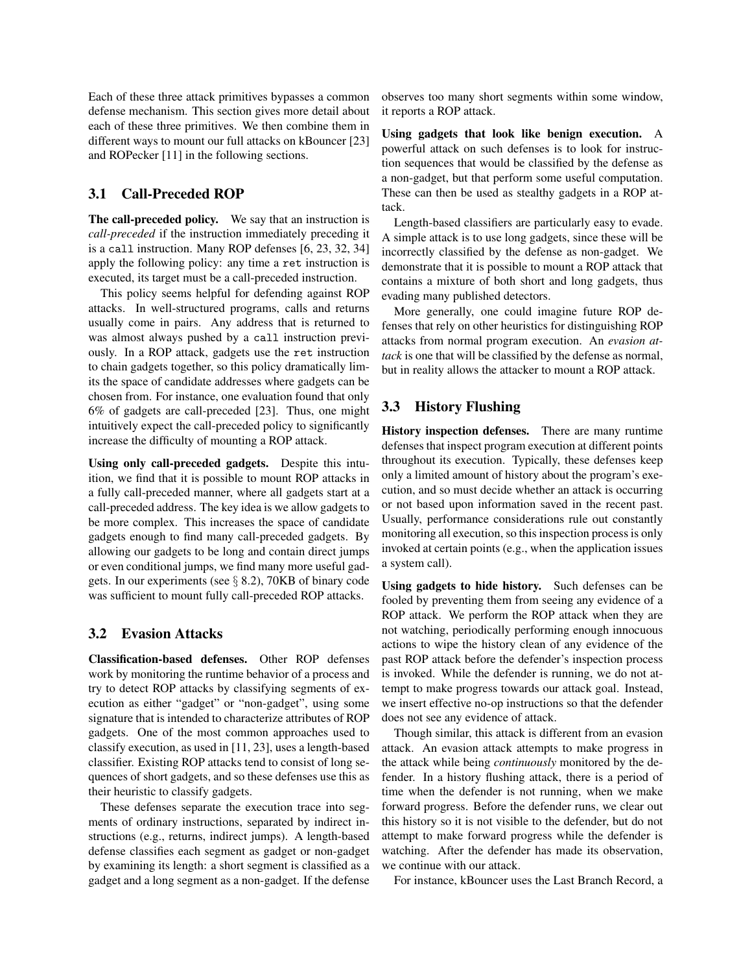Each of these three attack primitives bypasses a common defense mechanism. This section gives more detail about each of these three primitives. We then combine them in different ways to mount our full attacks on kBouncer [23] and ROPecker [11] in the following sections.

# 3.1 Call-Preceded ROP

The call-preceded policy. We say that an instruction is *call-preceded* if the instruction immediately preceding it is a call instruction. Many ROP defenses [6, 23, 32, 34] apply the following policy: any time a ret instruction is executed, its target must be a call-preceded instruction.

This policy seems helpful for defending against ROP attacks. In well-structured programs, calls and returns usually come in pairs. Any address that is returned to was almost always pushed by a call instruction previously. In a ROP attack, gadgets use the ret instruction to chain gadgets together, so this policy dramatically limits the space of candidate addresses where gadgets can be chosen from. For instance, one evaluation found that only 6% of gadgets are call-preceded [23]. Thus, one might intuitively expect the call-preceded policy to significantly increase the difficulty of mounting a ROP attack.

Using only call-preceded gadgets. Despite this intuition, we find that it is possible to mount ROP attacks in a fully call-preceded manner, where all gadgets start at a call-preceded address. The key idea is we allow gadgets to be more complex. This increases the space of candidate gadgets enough to find many call-preceded gadgets. By allowing our gadgets to be long and contain direct jumps or even conditional jumps, we find many more useful gadgets. In our experiments (see  $\S$  8.2), 70KB of binary code was sufficient to mount fully call-preceded ROP attacks.

## 3.2 Evasion Attacks

Classification-based defenses. Other ROP defenses work by monitoring the runtime behavior of a process and try to detect ROP attacks by classifying segments of execution as either "gadget" or "non-gadget", using some signature that is intended to characterize attributes of ROP gadgets. One of the most common approaches used to classify execution, as used in [11, 23], uses a length-based classifier. Existing ROP attacks tend to consist of long sequences of short gadgets, and so these defenses use this as their heuristic to classify gadgets.

These defenses separate the execution trace into segments of ordinary instructions, separated by indirect instructions (e.g., returns, indirect jumps). A length-based defense classifies each segment as gadget or non-gadget by examining its length: a short segment is classified as a gadget and a long segment as a non-gadget. If the defense observes too many short segments within some window, it reports a ROP attack.

Using gadgets that look like benign execution. A powerful attack on such defenses is to look for instruction sequences that would be classified by the defense as a non-gadget, but that perform some useful computation. These can then be used as stealthy gadgets in a ROP attack.

Length-based classifiers are particularly easy to evade. A simple attack is to use long gadgets, since these will be incorrectly classified by the defense as non-gadget. We demonstrate that it is possible to mount a ROP attack that contains a mixture of both short and long gadgets, thus evading many published detectors.

More generally, one could imagine future ROP defenses that rely on other heuristics for distinguishing ROP attacks from normal program execution. An *evasion attack* is one that will be classified by the defense as normal, but in reality allows the attacker to mount a ROP attack.

# 3.3 History Flushing

History inspection defenses. There are many runtime defenses that inspect program execution at different points throughout its execution. Typically, these defenses keep only a limited amount of history about the program's execution, and so must decide whether an attack is occurring or not based upon information saved in the recent past. Usually, performance considerations rule out constantly monitoring all execution, so this inspection process is only invoked at certain points (e.g., when the application issues a system call).

Using gadgets to hide history. Such defenses can be fooled by preventing them from seeing any evidence of a ROP attack. We perform the ROP attack when they are not watching, periodically performing enough innocuous actions to wipe the history clean of any evidence of the past ROP attack before the defender's inspection process is invoked. While the defender is running, we do not attempt to make progress towards our attack goal. Instead, we insert effective no-op instructions so that the defender does not see any evidence of attack.

Though similar, this attack is different from an evasion attack. An evasion attack attempts to make progress in the attack while being *continuously* monitored by the defender. In a history flushing attack, there is a period of time when the defender is not running, when we make forward progress. Before the defender runs, we clear out this history so it is not visible to the defender, but do not attempt to make forward progress while the defender is watching. After the defender has made its observation, we continue with our attack.

For instance, kBouncer uses the Last Branch Record, a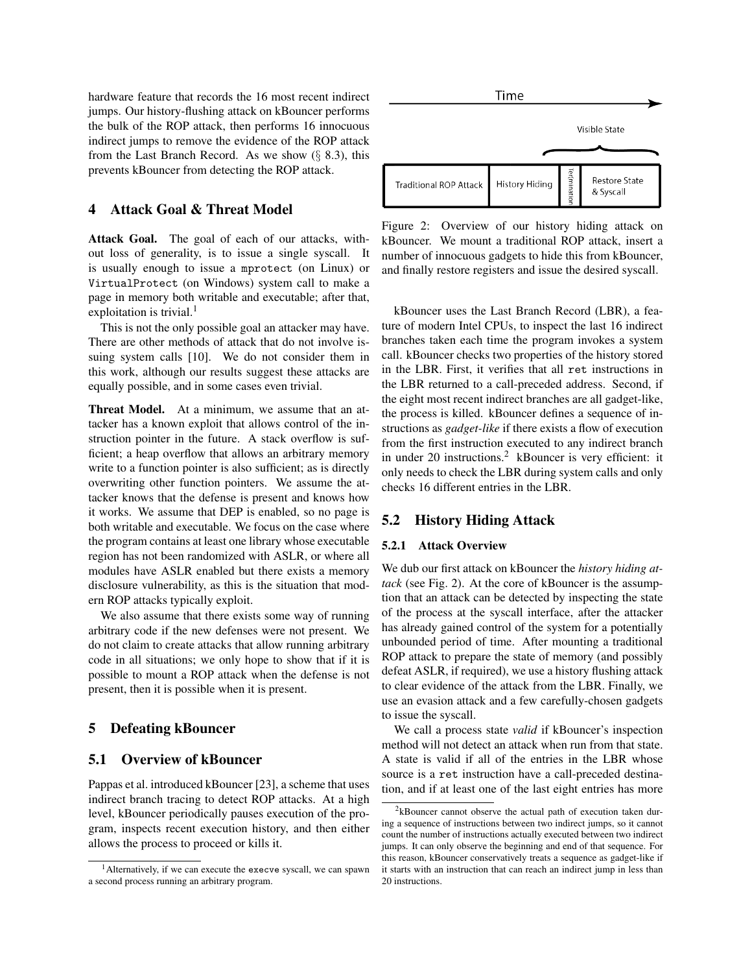hardware feature that records the 16 most recent indirect jumps. Our history-flushing attack on kBouncer performs the bulk of the ROP attack, then performs 16 innocuous indirect jumps to remove the evidence of the ROP attack from the Last Branch Record. As we show  $(\S$  8.3), this prevents kBouncer from detecting the ROP attack.

## 4 Attack Goal & Threat Model

Attack Goal. The goal of each of our attacks, without loss of generality, is to issue a single syscall. It is usually enough to issue a mprotect (on Linux) or VirtualProtect (on Windows) system call to make a page in memory both writable and executable; after that, exploitation is trivial. $<sup>1</sup>$ </sup>

This is not the only possible goal an attacker may have. There are other methods of attack that do not involve issuing system calls [10]. We do not consider them in this work, although our results suggest these attacks are equally possible, and in some cases even trivial.

Threat Model. At a minimum, we assume that an attacker has a known exploit that allows control of the instruction pointer in the future. A stack overflow is sufficient; a heap overflow that allows an arbitrary memory write to a function pointer is also sufficient; as is directly overwriting other function pointers. We assume the attacker knows that the defense is present and knows how it works. We assume that DEP is enabled, so no page is both writable and executable. We focus on the case where the program contains at least one library whose executable region has not been randomized with ASLR, or where all modules have ASLR enabled but there exists a memory disclosure vulnerability, as this is the situation that modern ROP attacks typically exploit.

We also assume that there exists some way of running arbitrary code if the new defenses were not present. We do not claim to create attacks that allow running arbitrary code in all situations; we only hope to show that if it is possible to mount a ROP attack when the defense is not present, then it is possible when it is present.

### 5 Defeating kBouncer

#### 5.1 Overview of kBouncer

Pappas et al. introduced kBouncer [23], a scheme that uses indirect branch tracing to detect ROP attacks. At a high level, kBouncer periodically pauses execution of the program, inspects recent execution history, and then either allows the process to proceed or kills it.



Figure 2: Overview of our history hiding attack on kBouncer. We mount a traditional ROP attack, insert a number of innocuous gadgets to hide this from kBouncer, and finally restore registers and issue the desired syscall.

kBouncer uses the Last Branch Record (LBR), a feature of modern Intel CPUs, to inspect the last 16 indirect branches taken each time the program invokes a system call. kBouncer checks two properties of the history stored in the LBR. First, it verifies that all ret instructions in the LBR returned to a call-preceded address. Second, if the eight most recent indirect branches are all gadget-like, the process is killed. kBouncer defines a sequence of instructions as *gadget-like* if there exists a flow of execution from the first instruction executed to any indirect branch in under 20 instructions.<sup>2</sup> kBouncer is very efficient: it only needs to check the LBR during system calls and only checks 16 different entries in the LBR.

## 5.2 History Hiding Attack

#### 5.2.1 Attack Overview

We dub our first attack on kBouncer the *history hiding attack* (see Fig. 2). At the core of kBouncer is the assumption that an attack can be detected by inspecting the state of the process at the syscall interface, after the attacker has already gained control of the system for a potentially unbounded period of time. After mounting a traditional ROP attack to prepare the state of memory (and possibly defeat ASLR, if required), we use a history flushing attack to clear evidence of the attack from the LBR. Finally, we use an evasion attack and a few carefully-chosen gadgets to issue the syscall.

We call a process state *valid* if kBouncer's inspection method will not detect an attack when run from that state. A state is valid if all of the entries in the LBR whose source is a ret instruction have a call-preceded destination, and if at least one of the last eight entries has more

<sup>&</sup>lt;sup>1</sup> Alternatively, if we can execute the execve syscall, we can spawn a second process running an arbitrary program.

 $2k$ Bouncer cannot observe the actual path of execution taken during a sequence of instructions between two indirect jumps, so it cannot count the number of instructions actually executed between two indirect jumps. It can only observe the beginning and end of that sequence. For this reason, kBouncer conservatively treats a sequence as gadget-like if it starts with an instruction that can reach an indirect jump in less than 20 instructions.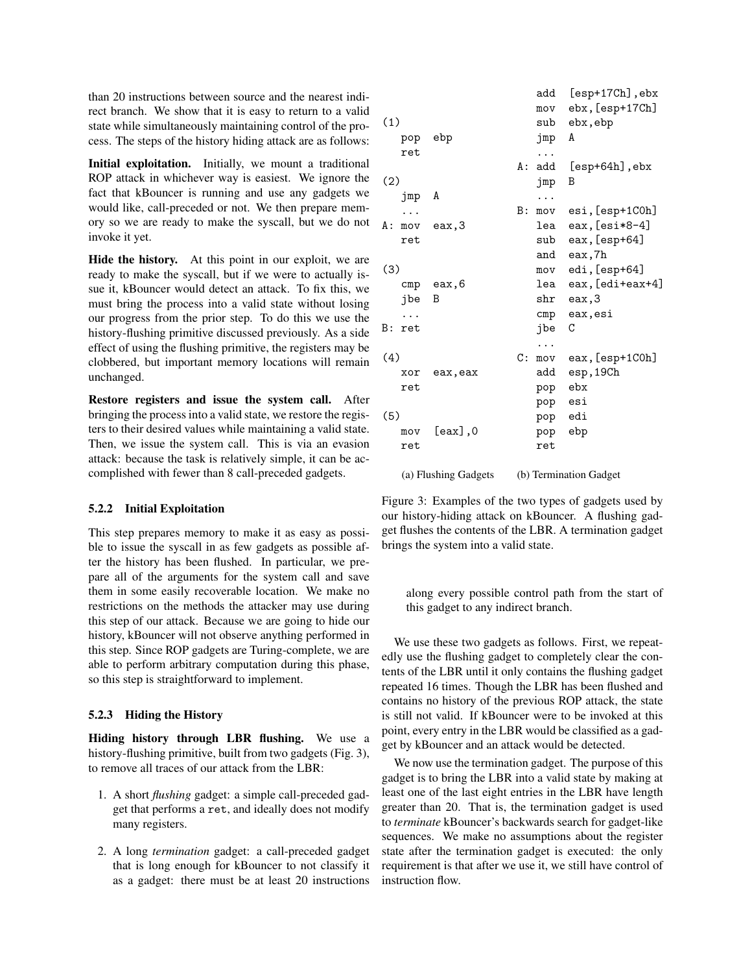than 20 instructions between source and the nearest indirect branch. We show that it is easy to return to a valid state while simultaneously maintaining control of the process. The steps of the history hiding attack are as follows:

Initial exploitation. Initially, we mount a traditional ROP attack in whichever way is easiest. We ignore the fact that kBouncer is running and use any gadgets we would like, call-preceded or not. We then prepare memory so we are ready to make the syscall, but we do not invoke it yet.

Hide the history. At this point in our exploit, we are ready to make the syscall, but if we were to actually issue it, kBouncer would detect an attack. To fix this, we must bring the process into a valid state without losing our progress from the prior step. To do this we use the history-flushing primitive discussed previously. As a side effect of using the flushing primitive, the registers may be clobbered, but important memory locations will remain unchanged.

Restore registers and issue the system call. After bringing the process into a valid state, we restore the registers to their desired values while maintaining a valid state. Then, we issue the system call. This is via an evasion attack: because the task is relatively simple, it can be accomplished with fewer than 8 call-preceded gadgets.

### 5.2.2 Initial Exploitation

This step prepares memory to make it as easy as possible to issue the syscall in as few gadgets as possible after the history has been flushed. In particular, we prepare all of the arguments for the system call and save them in some easily recoverable location. We make no restrictions on the methods the attacker may use during this step of our attack. Because we are going to hide our history, kBouncer will not observe anything performed in this step. Since ROP gadgets are Turing-complete, we are able to perform arbitrary computation during this phase, so this step is straightforward to implement.

#### 5.2.3 Hiding the History

Hiding history through LBR flushing. We use a history-flushing primitive, built from two gadgets (Fig. 3), to remove all traces of our attack from the LBR:

- 1. A short *flushing* gadget: a simple call-preceded gadget that performs a ret, and ideally does not modify many registers.
- 2. A long *termination* gadget: a call-preceded gadget that is long enough for kBouncer to not classify it as a gadget: there must be at least 20 instructions

|       |     |                |     | add<br>mov | [esp+17Ch], ebx<br>ebx, [esp+17Ch] |
|-------|-----|----------------|-----|------------|------------------------------------|
| (1)   |     |                |     | sub        | ebx, ebp                           |
|       | pop | ebp            |     | jmp        | A                                  |
|       | ret |                |     | .          |                                    |
|       |     |                | A : | add        | $[esp+64h]$ , ebx                  |
| (2)   |     |                |     | jmp        | B                                  |
|       | jmp | A              |     | .          |                                    |
|       |     |                | B:  | mov        | esi, [esp+1COh]                    |
| A : - | mov | eax,3          |     | lea        | eax, [esi*8-4]                     |
|       | ret |                |     | sub        | eax, [esp+64]                      |
|       |     |                |     | and        | eax,7h                             |
| (3)   |     |                |     | mov        | edi, [esp+64]                      |
|       |     | $cmp$ eax, $6$ |     | lea        | eax, [edi+eax+4]                   |
|       | jbe | B              |     | shr        | eax,3                              |
|       |     |                |     | cmp        | eax, esi                           |
| B :   | ret |                |     | jbe        | C                                  |
|       |     |                |     |            |                                    |
| (4)   |     |                | C:  | mov        | eax, [esp+1C0h]                    |
|       | xor | eax, eax       |     | add        | esp, 19Ch                          |
|       | ret |                |     | pop        | ebx                                |
|       |     |                |     | pop        | esi                                |
| (5)   |     |                |     | pop        | edi                                |
|       | mov | $[$ eax $]$ ,0 |     | pop        | ebp                                |
|       | ret |                |     | ret        |                                    |
|       |     |                |     |            |                                    |
|       |     |                |     |            |                                    |

(a) Flushing Gadgets (b) Termination Gadget

Figure 3: Examples of the two types of gadgets used by our history-hiding attack on kBouncer. A flushing gadget flushes the contents of the LBR. A termination gadget brings the system into a valid state.

along every possible control path from the start of this gadget to any indirect branch.

We use these two gadgets as follows. First, we repeatedly use the flushing gadget to completely clear the contents of the LBR until it only contains the flushing gadget repeated 16 times. Though the LBR has been flushed and contains no history of the previous ROP attack, the state is still not valid. If kBouncer were to be invoked at this point, every entry in the LBR would be classified as a gadget by kBouncer and an attack would be detected.

We now use the termination gadget. The purpose of this gadget is to bring the LBR into a valid state by making at least one of the last eight entries in the LBR have length greater than 20. That is, the termination gadget is used to *terminate* kBouncer's backwards search for gadget-like sequences. We make no assumptions about the register state after the termination gadget is executed: the only requirement is that after we use it, we still have control of instruction flow.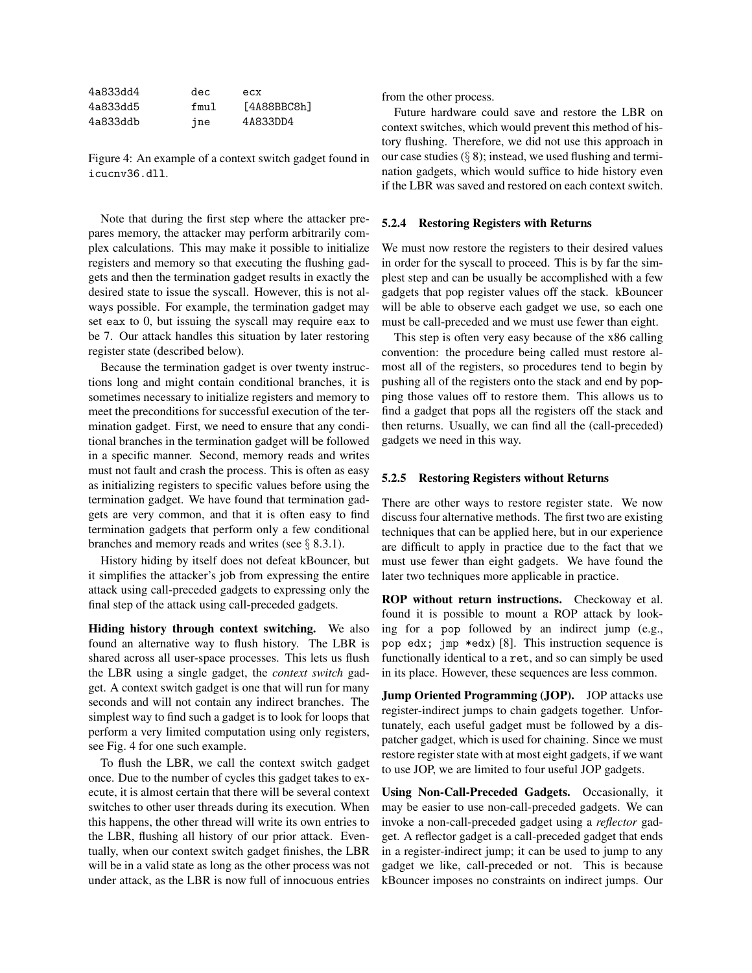| 4a833dd4 | dec  | ecx         |
|----------|------|-------------|
| 4a833dd5 | fmul | [4A88BBC8h] |
| 4a833ddb | ine  | 4A833DD4    |

Figure 4: An example of a context switch gadget found in icucnv36.dll.

Note that during the first step where the attacker prepares memory, the attacker may perform arbitrarily complex calculations. This may make it possible to initialize registers and memory so that executing the flushing gadgets and then the termination gadget results in exactly the desired state to issue the syscall. However, this is not always possible. For example, the termination gadget may set eax to 0, but issuing the syscall may require eax to be 7. Our attack handles this situation by later restoring register state (described below).

Because the termination gadget is over twenty instructions long and might contain conditional branches, it is sometimes necessary to initialize registers and memory to meet the preconditions for successful execution of the termination gadget. First, we need to ensure that any conditional branches in the termination gadget will be followed in a specific manner. Second, memory reads and writes must not fault and crash the process. This is often as easy as initializing registers to specific values before using the termination gadget. We have found that termination gadgets are very common, and that it is often easy to find termination gadgets that perform only a few conditional branches and memory reads and writes (see  $\S$  8.3.1).

History hiding by itself does not defeat kBouncer, but it simplifies the attacker's job from expressing the entire attack using call-preceded gadgets to expressing only the final step of the attack using call-preceded gadgets.

Hiding history through context switching. We also found an alternative way to flush history. The LBR is shared across all user-space processes. This lets us flush the LBR using a single gadget, the *context switch* gadget. A context switch gadget is one that will run for many seconds and will not contain any indirect branches. The simplest way to find such a gadget is to look for loops that perform a very limited computation using only registers, see Fig. 4 for one such example.

To flush the LBR, we call the context switch gadget once. Due to the number of cycles this gadget takes to execute, it is almost certain that there will be several context switches to other user threads during its execution. When this happens, the other thread will write its own entries to the LBR, flushing all history of our prior attack. Eventually, when our context switch gadget finishes, the LBR will be in a valid state as long as the other process was not under attack, as the LBR is now full of innocuous entries from the other process.

Future hardware could save and restore the LBR on context switches, which would prevent this method of history flushing. Therefore, we did not use this approach in our case studies  $(\S 8)$ ; instead, we used flushing and termination gadgets, which would suffice to hide history even if the LBR was saved and restored on each context switch.

#### 5.2.4 Restoring Registers with Returns

We must now restore the registers to their desired values in order for the syscall to proceed. This is by far the simplest step and can be usually be accomplished with a few gadgets that pop register values off the stack. kBouncer will be able to observe each gadget we use, so each one must be call-preceded and we must use fewer than eight.

This step is often very easy because of the x86 calling convention: the procedure being called must restore almost all of the registers, so procedures tend to begin by pushing all of the registers onto the stack and end by popping those values off to restore them. This allows us to find a gadget that pops all the registers off the stack and then returns. Usually, we can find all the (call-preceded) gadgets we need in this way.

#### 5.2.5 Restoring Registers without Returns

There are other ways to restore register state. We now discuss four alternative methods. The first two are existing techniques that can be applied here, but in our experience are difficult to apply in practice due to the fact that we must use fewer than eight gadgets. We have found the later two techniques more applicable in practice.

ROP without return instructions. Checkoway et al. found it is possible to mount a ROP attack by looking for a pop followed by an indirect jump (e.g., pop edx; jmp \*edx) [8]. This instruction sequence is functionally identical to a ret, and so can simply be used in its place. However, these sequences are less common.

Jump Oriented Programming (JOP). JOP attacks use register-indirect jumps to chain gadgets together. Unfortunately, each useful gadget must be followed by a dispatcher gadget, which is used for chaining. Since we must restore register state with at most eight gadgets, if we want to use JOP, we are limited to four useful JOP gadgets.

Using Non-Call-Preceded Gadgets. Occasionally, it may be easier to use non-call-preceded gadgets. We can invoke a non-call-preceded gadget using a *reflector* gadget. A reflector gadget is a call-preceded gadget that ends in a register-indirect jump; it can be used to jump to any gadget we like, call-preceded or not. This is because kBouncer imposes no constraints on indirect jumps. Our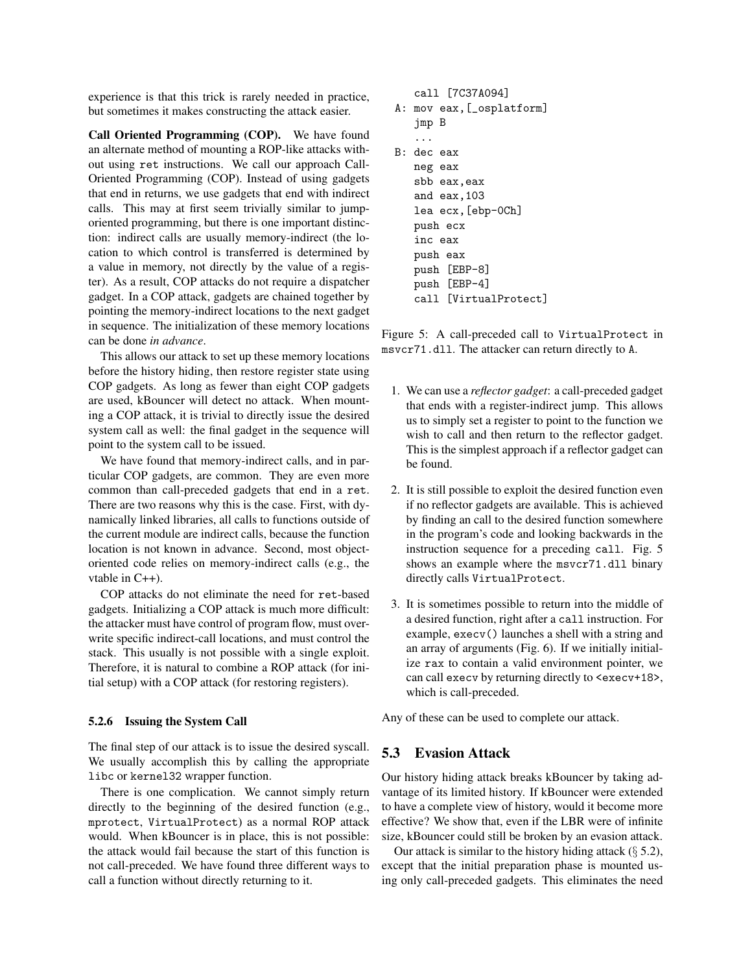experience is that this trick is rarely needed in practice, but sometimes it makes constructing the attack easier.

Call Oriented Programming (COP). We have found an alternate method of mounting a ROP-like attacks without using ret instructions. We call our approach Call-Oriented Programming (COP). Instead of using gadgets that end in returns, we use gadgets that end with indirect calls. This may at first seem trivially similar to jumporiented programming, but there is one important distinction: indirect calls are usually memory-indirect (the location to which control is transferred is determined by a value in memory, not directly by the value of a register). As a result, COP attacks do not require a dispatcher gadget. In a COP attack, gadgets are chained together by pointing the memory-indirect locations to the next gadget in sequence. The initialization of these memory locations can be done *in advance*.

This allows our attack to set up these memory locations before the history hiding, then restore register state using COP gadgets. As long as fewer than eight COP gadgets are used, kBouncer will detect no attack. When mounting a COP attack, it is trivial to directly issue the desired system call as well: the final gadget in the sequence will point to the system call to be issued.

We have found that memory-indirect calls, and in particular COP gadgets, are common. They are even more common than call-preceded gadgets that end in a ret. There are two reasons why this is the case. First, with dynamically linked libraries, all calls to functions outside of the current module are indirect calls, because the function location is not known in advance. Second, most objectoriented code relies on memory-indirect calls (e.g., the vtable in C++).

COP attacks do not eliminate the need for ret-based gadgets. Initializing a COP attack is much more difficult: the attacker must have control of program flow, must overwrite specific indirect-call locations, and must control the stack. This usually is not possible with a single exploit. Therefore, it is natural to combine a ROP attack (for initial setup) with a COP attack (for restoring registers).

#### 5.2.6 Issuing the System Call

The final step of our attack is to issue the desired syscall. We usually accomplish this by calling the appropriate libc or kernel32 wrapper function.

There is one complication. We cannot simply return directly to the beginning of the desired function (e.g., mprotect, VirtualProtect) as a normal ROP attack would. When kBouncer is in place, this is not possible: the attack would fail because the start of this function is not call-preceded. We have found three different ways to call a function without directly returning to it.

```
call [7C37A094]
A: mov eax,[_osplatform]
   jmp B
   ...
B: dec eax
   neg eax
   sbb eax,eax
   and eax,103
   lea ecx,[ebp-0Ch]
   push ecx
   inc eax
   push eax
   push [EBP-8]
   push [EBP-4]
   call [VirtualProtect]
```
Figure 5: A call-preceded call to VirtualProtect in msvcr71.dll. The attacker can return directly to A.

- 1. We can use a *reflector gadget*: a call-preceded gadget that ends with a register-indirect jump. This allows us to simply set a register to point to the function we wish to call and then return to the reflector gadget. This is the simplest approach if a reflector gadget can be found.
- 2. It is still possible to exploit the desired function even if no reflector gadgets are available. This is achieved by finding an call to the desired function somewhere in the program's code and looking backwards in the instruction sequence for a preceding call. Fig. 5 shows an example where the msvcr71.dll binary directly calls VirtualProtect.
- 3. It is sometimes possible to return into the middle of a desired function, right after a call instruction. For example, execv() launches a shell with a string and an array of arguments (Fig. 6). If we initially initialize rax to contain a valid environment pointer, we can call execv by returning directly to  $\le$ execv+18>, which is call-preceded.

Any of these can be used to complete our attack.

## 5.3 Evasion Attack

Our history hiding attack breaks kBouncer by taking advantage of its limited history. If kBouncer were extended to have a complete view of history, would it become more effective? We show that, even if the LBR were of infinite size, kBouncer could still be broken by an evasion attack.

Our attack is similar to the history hiding attack  $(\S$  5.2), except that the initial preparation phase is mounted using only call-preceded gadgets. This eliminates the need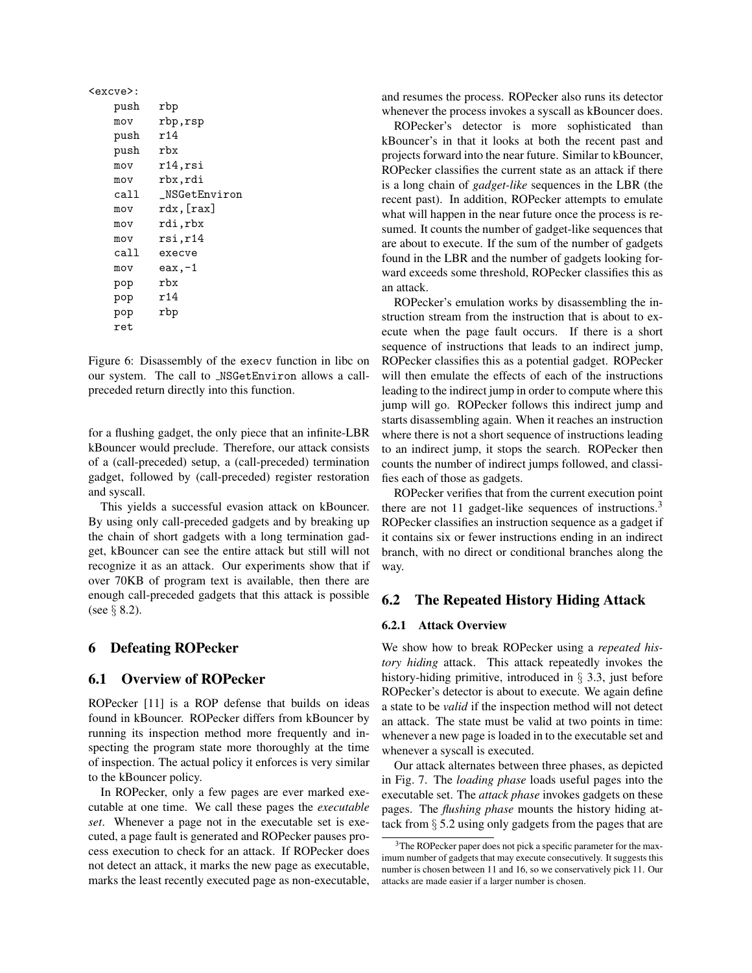| <excve>:</excve> |                 |
|------------------|-----------------|
| push             | rbp             |
| mov              | rbp,rsp         |
| push             | r14             |
| push             | rbx             |
| mov              | r14,rsi         |
| mov              | rbx,rdi         |
| call             | NSGetEnviron    |
| mov              | $rdx$ , $[rax]$ |
| mov              | rdi,rbx         |
| mov              | rsi,r14         |
| call             | execve          |
| mov              | eax,-1          |
| pop              | rbx             |
| pop              | r14             |
| pop              | rbp             |
| ret              |                 |
|                  |                 |

Figure 6: Disassembly of the execv function in libc on our system. The call to \_NSGetEnviron allows a callpreceded return directly into this function.

for a flushing gadget, the only piece that an infinite-LBR kBouncer would preclude. Therefore, our attack consists of a (call-preceded) setup, a (call-preceded) termination gadget, followed by (call-preceded) register restoration and syscall.

This yields a successful evasion attack on kBouncer. By using only call-preceded gadgets and by breaking up the chain of short gadgets with a long termination gadget, kBouncer can see the entire attack but still will not recognize it as an attack. Our experiments show that if over 70KB of program text is available, then there are enough call-preceded gadgets that this attack is possible (see § 8.2).

### 6 Defeating ROPecker

### 6.1 Overview of ROPecker

ROPecker [11] is a ROP defense that builds on ideas found in kBouncer. ROPecker differs from kBouncer by running its inspection method more frequently and inspecting the program state more thoroughly at the time of inspection. The actual policy it enforces is very similar to the kBouncer policy.

In ROPecker, only a few pages are ever marked executable at one time. We call these pages the *executable set*. Whenever a page not in the executable set is executed, a page fault is generated and ROPecker pauses process execution to check for an attack. If ROPecker does not detect an attack, it marks the new page as executable, marks the least recently executed page as non-executable, and resumes the process. ROPecker also runs its detector whenever the process invokes a syscall as kBouncer does.

ROPecker's detector is more sophisticated than kBouncer's in that it looks at both the recent past and projects forward into the near future. Similar to kBouncer, ROPecker classifies the current state as an attack if there is a long chain of *gadget-like* sequences in the LBR (the recent past). In addition, ROPecker attempts to emulate what will happen in the near future once the process is resumed. It counts the number of gadget-like sequences that are about to execute. If the sum of the number of gadgets found in the LBR and the number of gadgets looking forward exceeds some threshold, ROPecker classifies this as an attack.

ROPecker's emulation works by disassembling the instruction stream from the instruction that is about to execute when the page fault occurs. If there is a short sequence of instructions that leads to an indirect jump, ROPecker classifies this as a potential gadget. ROPecker will then emulate the effects of each of the instructions leading to the indirect jump in order to compute where this jump will go. ROPecker follows this indirect jump and starts disassembling again. When it reaches an instruction where there is not a short sequence of instructions leading to an indirect jump, it stops the search. ROPecker then counts the number of indirect jumps followed, and classifies each of those as gadgets.

ROPecker verifies that from the current execution point there are not 11 gadget-like sequences of instructions.<sup>3</sup> ROPecker classifies an instruction sequence as a gadget if it contains six or fewer instructions ending in an indirect branch, with no direct or conditional branches along the way.

### 6.2 The Repeated History Hiding Attack

#### 6.2.1 Attack Overview

We show how to break ROPecker using a *repeated history hiding* attack. This attack repeatedly invokes the history-hiding primitive, introduced in  $\S$  3.3, just before ROPecker's detector is about to execute. We again define a state to be *valid* if the inspection method will not detect an attack. The state must be valid at two points in time: whenever a new page is loaded in to the executable set and whenever a syscall is executed.

Our attack alternates between three phases, as depicted in Fig. 7. The *loading phase* loads useful pages into the executable set. The *attack phase* invokes gadgets on these pages. The *flushing phase* mounts the history hiding attack from § 5.2 using only gadgets from the pages that are

<sup>&</sup>lt;sup>3</sup>The ROPecker paper does not pick a specific parameter for the maximum number of gadgets that may execute consecutively. It suggests this number is chosen between 11 and 16, so we conservatively pick 11. Our attacks are made easier if a larger number is chosen.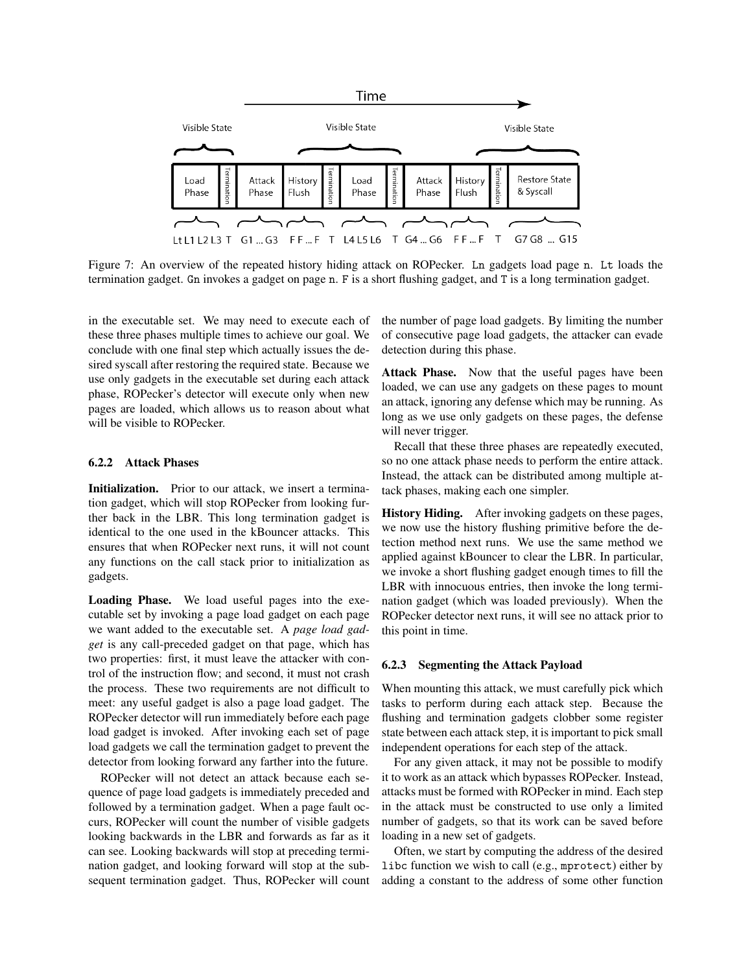

Figure 7: An overview of the repeated history hiding attack on ROPecker. Ln gadgets load page n. Lt loads the termination gadget. Gn invokes a gadget on page n. F is a short flushing gadget, and T is a long termination gadget.

in the executable set. We may need to execute each of these three phases multiple times to achieve our goal. We conclude with one final step which actually issues the desired syscall after restoring the required state. Because we use only gadgets in the executable set during each attack phase, ROPecker's detector will execute only when new pages are loaded, which allows us to reason about what will be visible to ROPecker.

#### 6.2.2 Attack Phases

Initialization. Prior to our attack, we insert a termination gadget, which will stop ROPecker from looking further back in the LBR. This long termination gadget is identical to the one used in the kBouncer attacks. This ensures that when ROPecker next runs, it will not count any functions on the call stack prior to initialization as gadgets.

Loading Phase. We load useful pages into the executable set by invoking a page load gadget on each page we want added to the executable set. A *page load gadget* is any call-preceded gadget on that page, which has two properties: first, it must leave the attacker with control of the instruction flow; and second, it must not crash the process. These two requirements are not difficult to meet: any useful gadget is also a page load gadget. The ROPecker detector will run immediately before each page load gadget is invoked. After invoking each set of page load gadgets we call the termination gadget to prevent the detector from looking forward any farther into the future.

ROPecker will not detect an attack because each sequence of page load gadgets is immediately preceded and followed by a termination gadget. When a page fault occurs, ROPecker will count the number of visible gadgets looking backwards in the LBR and forwards as far as it can see. Looking backwards will stop at preceding termination gadget, and looking forward will stop at the subsequent termination gadget. Thus, ROPecker will count the number of page load gadgets. By limiting the number of consecutive page load gadgets, the attacker can evade detection during this phase.

Attack Phase. Now that the useful pages have been loaded, we can use any gadgets on these pages to mount an attack, ignoring any defense which may be running. As long as we use only gadgets on these pages, the defense will never trigger.

Recall that these three phases are repeatedly executed, so no one attack phase needs to perform the entire attack. Instead, the attack can be distributed among multiple attack phases, making each one simpler.

History Hiding. After invoking gadgets on these pages, we now use the history flushing primitive before the detection method next runs. We use the same method we applied against kBouncer to clear the LBR. In particular, we invoke a short flushing gadget enough times to fill the LBR with innocuous entries, then invoke the long termination gadget (which was loaded previously). When the ROPecker detector next runs, it will see no attack prior to this point in time.

#### 6.2.3 Segmenting the Attack Payload

When mounting this attack, we must carefully pick which tasks to perform during each attack step. Because the flushing and termination gadgets clobber some register state between each attack step, it is important to pick small independent operations for each step of the attack.

For any given attack, it may not be possible to modify it to work as an attack which bypasses ROPecker. Instead, attacks must be formed with ROPecker in mind. Each step in the attack must be constructed to use only a limited number of gadgets, so that its work can be saved before loading in a new set of gadgets.

Often, we start by computing the address of the desired libc function we wish to call (e.g., mprotect) either by adding a constant to the address of some other function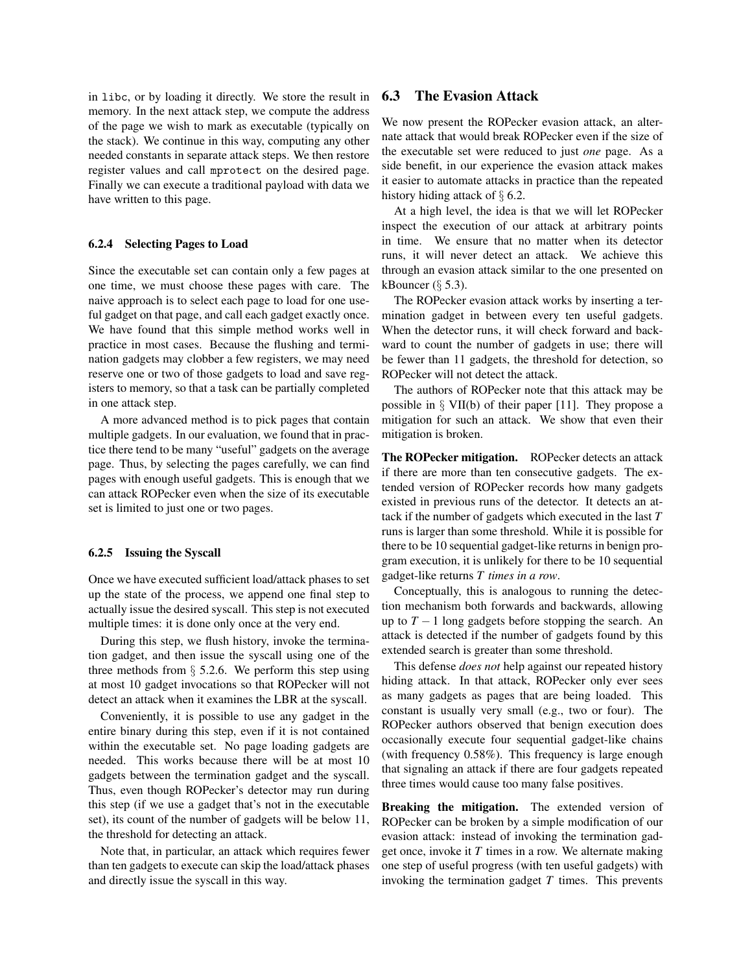in libc, or by loading it directly. We store the result in memory. In the next attack step, we compute the address of the page we wish to mark as executable (typically on the stack). We continue in this way, computing any other needed constants in separate attack steps. We then restore register values and call mprotect on the desired page. Finally we can execute a traditional payload with data we have written to this page.

#### 6.2.4 Selecting Pages to Load

Since the executable set can contain only a few pages at one time, we must choose these pages with care. The naive approach is to select each page to load for one useful gadget on that page, and call each gadget exactly once. We have found that this simple method works well in practice in most cases. Because the flushing and termination gadgets may clobber a few registers, we may need reserve one or two of those gadgets to load and save registers to memory, so that a task can be partially completed in one attack step.

A more advanced method is to pick pages that contain multiple gadgets. In our evaluation, we found that in practice there tend to be many "useful" gadgets on the average page. Thus, by selecting the pages carefully, we can find pages with enough useful gadgets. This is enough that we can attack ROPecker even when the size of its executable set is limited to just one or two pages.

### 6.2.5 Issuing the Syscall

Once we have executed sufficient load/attack phases to set up the state of the process, we append one final step to actually issue the desired syscall. This step is not executed multiple times: it is done only once at the very end.

During this step, we flush history, invoke the termination gadget, and then issue the syscall using one of the three methods from  $\S$  5.2.6. We perform this step using at most 10 gadget invocations so that ROPecker will not detect an attack when it examines the LBR at the syscall.

Conveniently, it is possible to use any gadget in the entire binary during this step, even if it is not contained within the executable set. No page loading gadgets are needed. This works because there will be at most 10 gadgets between the termination gadget and the syscall. Thus, even though ROPecker's detector may run during this step (if we use a gadget that's not in the executable set), its count of the number of gadgets will be below 11, the threshold for detecting an attack.

Note that, in particular, an attack which requires fewer than ten gadgets to execute can skip the load/attack phases and directly issue the syscall in this way.

# 6.3 The Evasion Attack

We now present the ROPecker evasion attack, an alternate attack that would break ROPecker even if the size of the executable set were reduced to just *one* page. As a side benefit, in our experience the evasion attack makes it easier to automate attacks in practice than the repeated history hiding attack of § 6.2.

At a high level, the idea is that we will let ROPecker inspect the execution of our attack at arbitrary points in time. We ensure that no matter when its detector runs, it will never detect an attack. We achieve this through an evasion attack similar to the one presented on kBouncer  $(\S 5.3)$ .

The ROPecker evasion attack works by inserting a termination gadget in between every ten useful gadgets. When the detector runs, it will check forward and backward to count the number of gadgets in use; there will be fewer than 11 gadgets, the threshold for detection, so ROPecker will not detect the attack.

The authors of ROPecker note that this attack may be possible in  $\S$  VII(b) of their paper [11]. They propose a mitigation for such an attack. We show that even their mitigation is broken.

The ROPecker mitigation. ROPecker detects an attack if there are more than ten consecutive gadgets. The extended version of ROPecker records how many gadgets existed in previous runs of the detector. It detects an attack if the number of gadgets which executed in the last *T* runs is larger than some threshold. While it is possible for there to be 10 sequential gadget-like returns in benign program execution, it is unlikely for there to be 10 sequential gadget-like returns *T times in a row*.

Conceptually, this is analogous to running the detection mechanism both forwards and backwards, allowing up to  $T - 1$  long gadgets before stopping the search. An attack is detected if the number of gadgets found by this extended search is greater than some threshold.

This defense *does not* help against our repeated history hiding attack. In that attack, ROPecker only ever sees as many gadgets as pages that are being loaded. This constant is usually very small (e.g., two or four). The ROPecker authors observed that benign execution does occasionally execute four sequential gadget-like chains (with frequency 0.58%). This frequency is large enough that signaling an attack if there are four gadgets repeated three times would cause too many false positives.

Breaking the mitigation. The extended version of ROPecker can be broken by a simple modification of our evasion attack: instead of invoking the termination gadget once, invoke it *T* times in a row. We alternate making one step of useful progress (with ten useful gadgets) with invoking the termination gadget *T* times. This prevents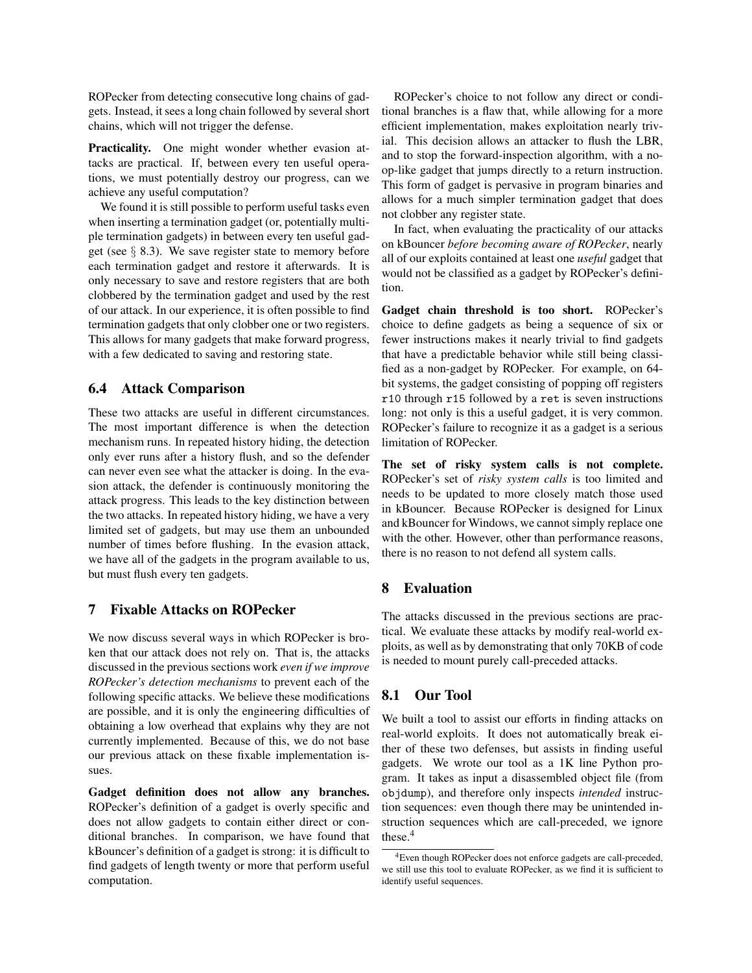ROPecker from detecting consecutive long chains of gadgets. Instead, it sees a long chain followed by several short chains, which will not trigger the defense.

Practicality. One might wonder whether evasion attacks are practical. If, between every ten useful operations, we must potentially destroy our progress, can we achieve any useful computation?

We found it is still possible to perform useful tasks even when inserting a termination gadget (or, potentially multiple termination gadgets) in between every ten useful gadget (see  $\S$  8.3). We save register state to memory before each termination gadget and restore it afterwards. It is only necessary to save and restore registers that are both clobbered by the termination gadget and used by the rest of our attack. In our experience, it is often possible to find termination gadgets that only clobber one or two registers. This allows for many gadgets that make forward progress, with a few dedicated to saving and restoring state.

# 6.4 Attack Comparison

These two attacks are useful in different circumstances. The most important difference is when the detection mechanism runs. In repeated history hiding, the detection only ever runs after a history flush, and so the defender can never even see what the attacker is doing. In the evasion attack, the defender is continuously monitoring the attack progress. This leads to the key distinction between the two attacks. In repeated history hiding, we have a very limited set of gadgets, but may use them an unbounded number of times before flushing. In the evasion attack, we have all of the gadgets in the program available to us, but must flush every ten gadgets.

# 7 Fixable Attacks on ROPecker

We now discuss several ways in which ROPecker is broken that our attack does not rely on. That is, the attacks discussed in the previous sections work *even if we improve ROPecker's detection mechanisms* to prevent each of the following specific attacks. We believe these modifications are possible, and it is only the engineering difficulties of obtaining a low overhead that explains why they are not currently implemented. Because of this, we do not base our previous attack on these fixable implementation issues.

Gadget definition does not allow any branches. ROPecker's definition of a gadget is overly specific and does not allow gadgets to contain either direct or conditional branches. In comparison, we have found that kBouncer's definition of a gadget is strong: it is difficult to find gadgets of length twenty or more that perform useful computation.

ROPecker's choice to not follow any direct or conditional branches is a flaw that, while allowing for a more efficient implementation, makes exploitation nearly trivial. This decision allows an attacker to flush the LBR, and to stop the forward-inspection algorithm, with a noop-like gadget that jumps directly to a return instruction. This form of gadget is pervasive in program binaries and allows for a much simpler termination gadget that does not clobber any register state.

In fact, when evaluating the practicality of our attacks on kBouncer *before becoming aware of ROPecker*, nearly all of our exploits contained at least one *useful* gadget that would not be classified as a gadget by ROPecker's definition.

Gadget chain threshold is too short. ROPecker's choice to define gadgets as being a sequence of six or fewer instructions makes it nearly trivial to find gadgets that have a predictable behavior while still being classified as a non-gadget by ROPecker. For example, on 64 bit systems, the gadget consisting of popping off registers r10 through r15 followed by a ret is seven instructions long: not only is this a useful gadget, it is very common. ROPecker's failure to recognize it as a gadget is a serious limitation of ROPecker.

The set of risky system calls is not complete. ROPecker's set of *risky system calls* is too limited and needs to be updated to more closely match those used in kBouncer. Because ROPecker is designed for Linux and kBouncer for Windows, we cannot simply replace one with the other. However, other than performance reasons, there is no reason to not defend all system calls.

## 8 Evaluation

The attacks discussed in the previous sections are practical. We evaluate these attacks by modify real-world exploits, as well as by demonstrating that only 70KB of code is needed to mount purely call-preceded attacks.

# 8.1 Our Tool

We built a tool to assist our efforts in finding attacks on real-world exploits. It does not automatically break either of these two defenses, but assists in finding useful gadgets. We wrote our tool as a 1K line Python program. It takes as input a disassembled object file (from objdump), and therefore only inspects *intended* instruction sequences: even though there may be unintended instruction sequences which are call-preceded, we ignore these.<sup>4</sup>

<sup>4</sup>Even though ROPecker does not enforce gadgets are call-preceded, we still use this tool to evaluate ROPecker, as we find it is sufficient to identify useful sequences.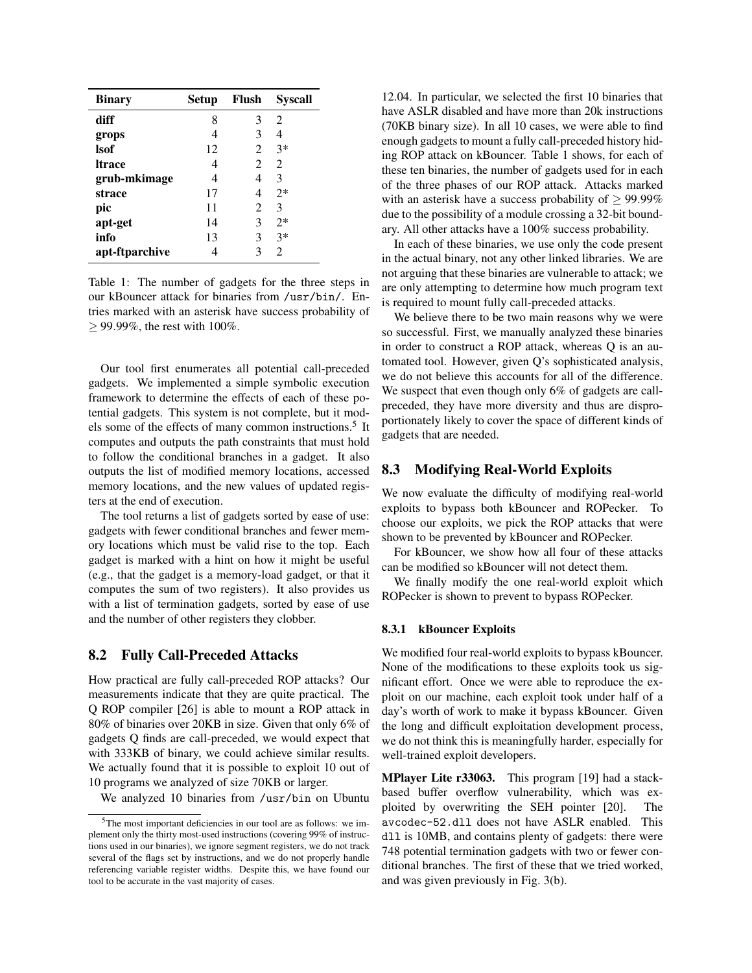| <b>Binary</b>  | <b>Setup</b> | Flush | Syscall        |
|----------------|--------------|-------|----------------|
| diff           | 8            | 3     | 2              |
| grops          | 4            | 3     | 4              |
| lsof           | 12           | 2     | $3*$           |
| ltrace         | 4            | 2     | $\mathfrak{D}$ |
| grub-mkimage   | 4            | 4     | 3              |
| strace         | 17           | 4     | $2*$           |
| pic            | 11           | 2     | 3              |
| apt-get        | 14           | 3     | $2*$           |
| info           | 13           | 3     | $3*$           |
| apt-ftparchive |              | 3     | $\mathfrak{D}$ |

Table 1: The number of gadgets for the three steps in our kBouncer attack for binaries from /usr/bin/. Entries marked with an asterisk have success probability of ≥ 99.99%, the rest with 100%.

Our tool first enumerates all potential call-preceded gadgets. We implemented a simple symbolic execution framework to determine the effects of each of these potential gadgets. This system is not complete, but it models some of the effects of many common instructions.<sup>5</sup> It computes and outputs the path constraints that must hold to follow the conditional branches in a gadget. It also outputs the list of modified memory locations, accessed memory locations, and the new values of updated registers at the end of execution.

The tool returns a list of gadgets sorted by ease of use: gadgets with fewer conditional branches and fewer memory locations which must be valid rise to the top. Each gadget is marked with a hint on how it might be useful (e.g., that the gadget is a memory-load gadget, or that it computes the sum of two registers). It also provides us with a list of termination gadgets, sorted by ease of use and the number of other registers they clobber.

## 8.2 Fully Call-Preceded Attacks

How practical are fully call-preceded ROP attacks? Our measurements indicate that they are quite practical. The Q ROP compiler [26] is able to mount a ROP attack in 80% of binaries over 20KB in size. Given that only 6% of gadgets Q finds are call-preceded, we would expect that with 333KB of binary, we could achieve similar results. We actually found that it is possible to exploit 10 out of 10 programs we analyzed of size 70KB or larger.

We analyzed 10 binaries from /usr/bin on Ubuntu

12.04. In particular, we selected the first 10 binaries that have ASLR disabled and have more than 20k instructions (70KB binary size). In all 10 cases, we were able to find enough gadgets to mount a fully call-preceded history hiding ROP attack on kBouncer. Table 1 shows, for each of these ten binaries, the number of gadgets used for in each of the three phases of our ROP attack. Attacks marked with an asterisk have a success probability of  $\geq 99.99\%$ due to the possibility of a module crossing a 32-bit boundary. All other attacks have a 100% success probability.

In each of these binaries, we use only the code present in the actual binary, not any other linked libraries. We are not arguing that these binaries are vulnerable to attack; we are only attempting to determine how much program text is required to mount fully call-preceded attacks.

We believe there to be two main reasons why we were so successful. First, we manually analyzed these binaries in order to construct a ROP attack, whereas Q is an automated tool. However, given Q's sophisticated analysis, we do not believe this accounts for all of the difference. We suspect that even though only 6% of gadgets are callpreceded, they have more diversity and thus are disproportionately likely to cover the space of different kinds of gadgets that are needed.

### 8.3 Modifying Real-World Exploits

We now evaluate the difficulty of modifying real-world exploits to bypass both kBouncer and ROPecker. To choose our exploits, we pick the ROP attacks that were shown to be prevented by kBouncer and ROPecker.

For kBouncer, we show how all four of these attacks can be modified so kBouncer will not detect them.

We finally modify the one real-world exploit which ROPecker is shown to prevent to bypass ROPecker.

#### 8.3.1 kBouncer Exploits

We modified four real-world exploits to bypass kBouncer. None of the modifications to these exploits took us significant effort. Once we were able to reproduce the exploit on our machine, each exploit took under half of a day's worth of work to make it bypass kBouncer. Given the long and difficult exploitation development process, we do not think this is meaningfully harder, especially for well-trained exploit developers.

MPlayer Lite r33063. This program [19] had a stackbased buffer overflow vulnerability, which was exploited by overwriting the SEH pointer [20]. The avcodec-52.dll does not have ASLR enabled. This dll is 10MB, and contains plenty of gadgets: there were 748 potential termination gadgets with two or fewer conditional branches. The first of these that we tried worked, and was given previously in Fig. 3(b).

<sup>5</sup>The most important deficiencies in our tool are as follows: we implement only the thirty most-used instructions (covering 99% of instructions used in our binaries), we ignore segment registers, we do not track several of the flags set by instructions, and we do not properly handle referencing variable register widths. Despite this, we have found our tool to be accurate in the vast majority of cases.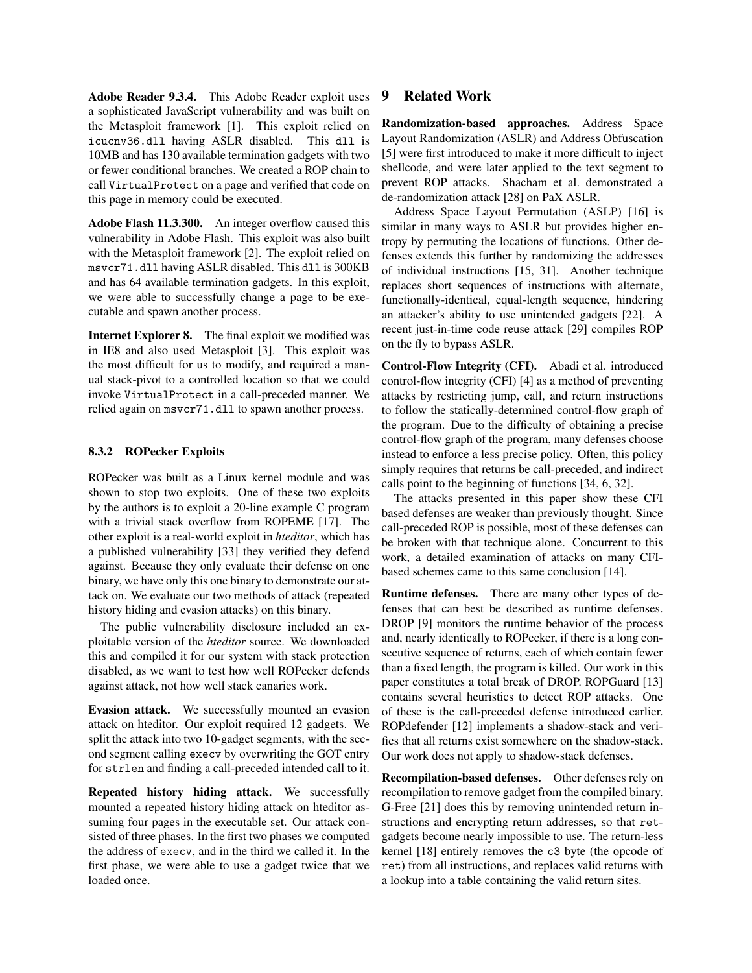Adobe Reader 9.3.4. This Adobe Reader exploit uses a sophisticated JavaScript vulnerability and was built on the Metasploit framework [1]. This exploit relied on icucnv36.dll having ASLR disabled. This dll is 10MB and has 130 available termination gadgets with two or fewer conditional branches. We created a ROP chain to call VirtualProtect on a page and verified that code on this page in memory could be executed.

Adobe Flash 11.3.300. An integer overflow caused this vulnerability in Adobe Flash. This exploit was also built with the Metasploit framework [2]. The exploit relied on msvcr71.dll having ASLR disabled. This dll is 300KB and has 64 available termination gadgets. In this exploit, we were able to successfully change a page to be executable and spawn another process.

Internet Explorer 8. The final exploit we modified was in IE8 and also used Metasploit [3]. This exploit was the most difficult for us to modify, and required a manual stack-pivot to a controlled location so that we could invoke VirtualProtect in a call-preceded manner. We relied again on msvcr71.dll to spawn another process.

### 8.3.2 ROPecker Exploits

ROPecker was built as a Linux kernel module and was shown to stop two exploits. One of these two exploits by the authors is to exploit a 20-line example C program with a trivial stack overflow from ROPEME [17]. The other exploit is a real-world exploit in *hteditor*, which has a published vulnerability [33] they verified they defend against. Because they only evaluate their defense on one binary, we have only this one binary to demonstrate our attack on. We evaluate our two methods of attack (repeated history hiding and evasion attacks) on this binary.

The public vulnerability disclosure included an exploitable version of the *hteditor* source. We downloaded this and compiled it for our system with stack protection disabled, as we want to test how well ROPecker defends against attack, not how well stack canaries work.

Evasion attack. We successfully mounted an evasion attack on hteditor. Our exploit required 12 gadgets. We split the attack into two 10-gadget segments, with the second segment calling execv by overwriting the GOT entry for strlen and finding a call-preceded intended call to it.

Repeated history hiding attack. We successfully mounted a repeated history hiding attack on hteditor assuming four pages in the executable set. Our attack consisted of three phases. In the first two phases we computed the address of execv, and in the third we called it. In the first phase, we were able to use a gadget twice that we loaded once.

# 9 Related Work

Randomization-based approaches. Address Space Layout Randomization (ASLR) and Address Obfuscation [5] were first introduced to make it more difficult to inject shellcode, and were later applied to the text segment to prevent ROP attacks. Shacham et al. demonstrated a de-randomization attack [28] on PaX ASLR.

Address Space Layout Permutation (ASLP) [16] is similar in many ways to ASLR but provides higher entropy by permuting the locations of functions. Other defenses extends this further by randomizing the addresses of individual instructions [15, 31]. Another technique replaces short sequences of instructions with alternate, functionally-identical, equal-length sequence, hindering an attacker's ability to use unintended gadgets [22]. A recent just-in-time code reuse attack [29] compiles ROP on the fly to bypass ASLR.

Control-Flow Integrity (CFI). Abadi et al. introduced control-flow integrity (CFI) [4] as a method of preventing attacks by restricting jump, call, and return instructions to follow the statically-determined control-flow graph of the program. Due to the difficulty of obtaining a precise control-flow graph of the program, many defenses choose instead to enforce a less precise policy. Often, this policy simply requires that returns be call-preceded, and indirect calls point to the beginning of functions [34, 6, 32].

The attacks presented in this paper show these CFI based defenses are weaker than previously thought. Since call-preceded ROP is possible, most of these defenses can be broken with that technique alone. Concurrent to this work, a detailed examination of attacks on many CFIbased schemes came to this same conclusion [14].

Runtime defenses. There are many other types of defenses that can best be described as runtime defenses. DROP [9] monitors the runtime behavior of the process and, nearly identically to ROPecker, if there is a long consecutive sequence of returns, each of which contain fewer than a fixed length, the program is killed. Our work in this paper constitutes a total break of DROP. ROPGuard [13] contains several heuristics to detect ROP attacks. One of these is the call-preceded defense introduced earlier. ROPdefender [12] implements a shadow-stack and verifies that all returns exist somewhere on the shadow-stack. Our work does not apply to shadow-stack defenses.

Recompilation-based defenses. Other defenses rely on recompilation to remove gadget from the compiled binary. G-Free [21] does this by removing unintended return instructions and encrypting return addresses, so that retgadgets become nearly impossible to use. The return-less kernel [18] entirely removes the c3 byte (the opcode of ret) from all instructions, and replaces valid returns with a lookup into a table containing the valid return sites.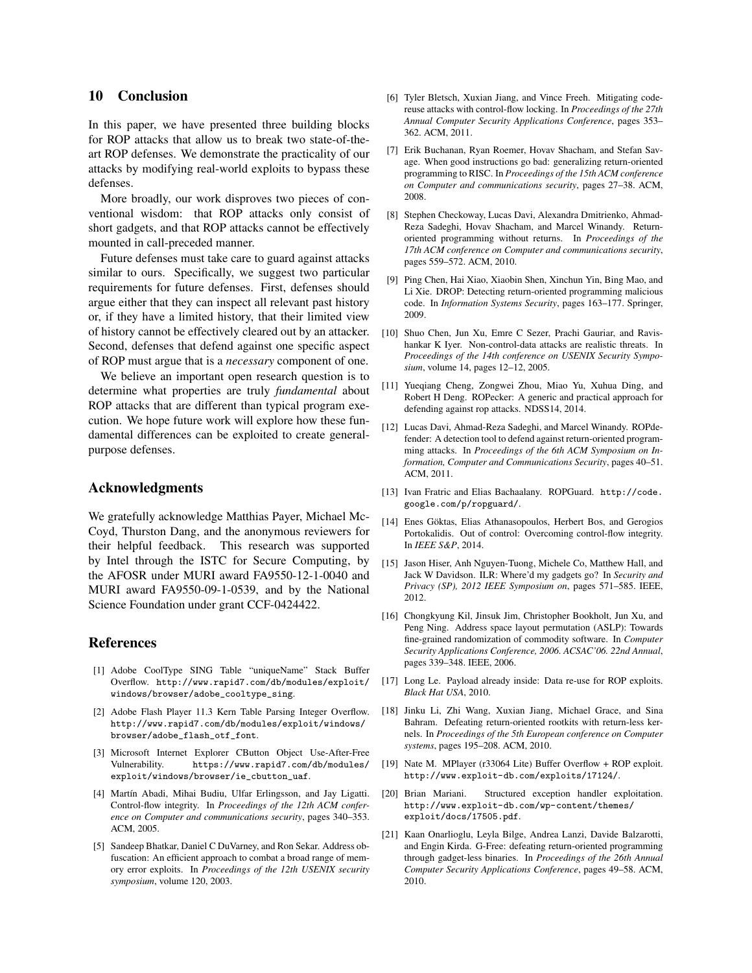## 10 Conclusion

In this paper, we have presented three building blocks for ROP attacks that allow us to break two state-of-theart ROP defenses. We demonstrate the practicality of our attacks by modifying real-world exploits to bypass these defenses.

More broadly, our work disproves two pieces of conventional wisdom: that ROP attacks only consist of short gadgets, and that ROP attacks cannot be effectively mounted in call-preceded manner.

Future defenses must take care to guard against attacks similar to ours. Specifically, we suggest two particular requirements for future defenses. First, defenses should argue either that they can inspect all relevant past history or, if they have a limited history, that their limited view of history cannot be effectively cleared out by an attacker. Second, defenses that defend against one specific aspect of ROP must argue that is a *necessary* component of one.

We believe an important open research question is to determine what properties are truly *fundamental* about ROP attacks that are different than typical program execution. We hope future work will explore how these fundamental differences can be exploited to create generalpurpose defenses.

## Acknowledgments

We gratefully acknowledge Matthias Payer, Michael Mc-Coyd, Thurston Dang, and the anonymous reviewers for their helpful feedback. This research was supported by Intel through the ISTC for Secure Computing, by the AFOSR under MURI award FA9550-12-1-0040 and MURI award FA9550-09-1-0539, and by the National Science Foundation under grant CCF-0424422.

### References

- [1] Adobe CoolType SING Table "uniqueName" Stack Buffer Overflow. http://www.rapid7.com/db/modules/exploit/ windows/browser/adobe\_cooltype\_sing.
- [2] Adobe Flash Player 11.3 Kern Table Parsing Integer Overflow. http://www.rapid7.com/db/modules/exploit/windows/ browser/adobe\_flash\_otf\_font.
- [3] Microsoft Internet Explorer CButton Object Use-After-Free Vulnerability. https://www.rapid7.com/db/modules/ exploit/windows/browser/ie\_cbutton\_uaf.
- [4] Martín Abadi, Mihai Budiu, Ulfar Erlingsson, and Jay Ligatti. Control-flow integrity. In *Proceedings of the 12th ACM conference on Computer and communications security*, pages 340–353. ACM, 2005.
- [5] Sandeep Bhatkar, Daniel C DuVarney, and Ron Sekar. Address obfuscation: An efficient approach to combat a broad range of memory error exploits. In *Proceedings of the 12th USENIX security symposium*, volume 120, 2003.
- [6] Tyler Bletsch, Xuxian Jiang, and Vince Freeh. Mitigating codereuse attacks with control-flow locking. In *Proceedings of the 27th Annual Computer Security Applications Conference*, pages 353– 362. ACM, 2011.
- [7] Erik Buchanan, Ryan Roemer, Hovav Shacham, and Stefan Savage. When good instructions go bad: generalizing return-oriented programming to RISC. In *Proceedings of the 15th ACM conference on Computer and communications security*, pages 27–38. ACM, 2008.
- [8] Stephen Checkoway, Lucas Davi, Alexandra Dmitrienko, Ahmad-Reza Sadeghi, Hovav Shacham, and Marcel Winandy. Returnoriented programming without returns. In *Proceedings of the 17th ACM conference on Computer and communications security*, pages 559–572. ACM, 2010.
- [9] Ping Chen, Hai Xiao, Xiaobin Shen, Xinchun Yin, Bing Mao, and Li Xie. DROP: Detecting return-oriented programming malicious code. In *Information Systems Security*, pages 163–177. Springer, 2009.
- [10] Shuo Chen, Jun Xu, Emre C Sezer, Prachi Gauriar, and Ravishankar K Iyer. Non-control-data attacks are realistic threats. In *Proceedings of the 14th conference on USENIX Security Symposium*, volume 14, pages 12–12, 2005.
- [11] Yueqiang Cheng, Zongwei Zhou, Miao Yu, Xuhua Ding, and Robert H Deng. ROPecker: A generic and practical approach for defending against rop attacks. NDSS14, 2014.
- [12] Lucas Davi, Ahmad-Reza Sadeghi, and Marcel Winandy. ROPdefender: A detection tool to defend against return-oriented programming attacks. In *Proceedings of the 6th ACM Symposium on Information, Computer and Communications Security*, pages 40–51. ACM, 2011.
- [13] Ivan Fratric and Elias Bachaalany. ROPGuard. http://code. google.com/p/ropguard/.
- [14] Enes Göktas, Elias Athanasopoulos, Herbert Bos, and Gerogios Portokalidis. Out of control: Overcoming control-flow integrity. In *IEEE S&P*, 2014.
- [15] Jason Hiser, Anh Nguyen-Tuong, Michele Co, Matthew Hall, and Jack W Davidson. ILR: Where'd my gadgets go? In *Security and Privacy (SP), 2012 IEEE Symposium on*, pages 571–585. IEEE, 2012.
- [16] Chongkyung Kil, Jinsuk Jim, Christopher Bookholt, Jun Xu, and Peng Ning. Address space layout permutation (ASLP): Towards fine-grained randomization of commodity software. In *Computer Security Applications Conference, 2006. ACSAC'06. 22nd Annual*, pages 339–348. IEEE, 2006.
- [17] Long Le. Payload already inside: Data re-use for ROP exploits. *Black Hat USA*, 2010.
- [18] Jinku Li, Zhi Wang, Xuxian Jiang, Michael Grace, and Sina Bahram. Defeating return-oriented rootkits with return-less kernels. In *Proceedings of the 5th European conference on Computer systems*, pages 195–208. ACM, 2010.
- [19] Nate M. MPlayer (r33064 Lite) Buffer Overflow + ROP exploit. http://www.exploit-db.com/exploits/17124/.
- [20] Brian Mariani. Structured exception handler exploitation. http://www.exploit-db.com/wp-content/themes/ exploit/docs/17505.pdf.
- [21] Kaan Onarlioglu, Leyla Bilge, Andrea Lanzi, Davide Balzarotti, and Engin Kirda. G-Free: defeating return-oriented programming through gadget-less binaries. In *Proceedings of the 26th Annual Computer Security Applications Conference*, pages 49–58. ACM, 2010.